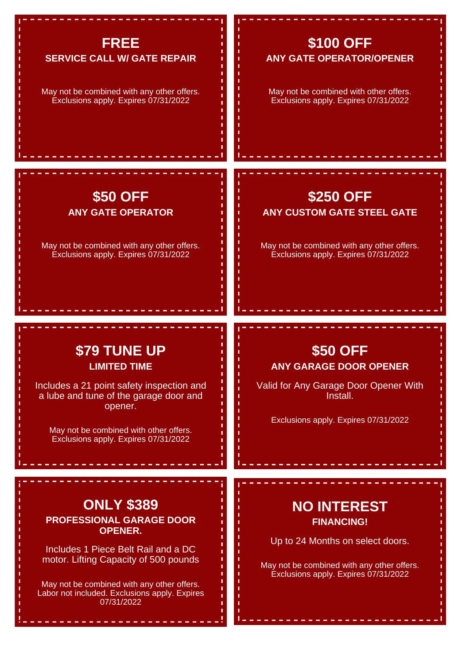## **FREE**

#### **SERVICE CALL W/ GATE REPAIR**

May not be combined with any other offers. Exclusions apply. Expires 07/31/2022

#### **\$100 OFF ANY GATE OPERATOR/OPENER**

May not be combined with other offers. Exclusions apply. Expires 07/31/2022

**\$250 OFF ANY CUSTOM GATE STEEL GATE**

May not be combined with any other offers. Exclusions apply. Expires 07/31/2022

#### **\$50 OFF ANY GATE OPERATOR**

May not be combined with any other offers. Exclusions apply. Expires 07/31/2022

### **\$79 TUNE UP LIMITED TIME**

Includes a 21 point safety inspection and a lube and tune of the garage door and opener.

May not be combined with other offers. Exclusions apply. Expires 07/31/2022

# **\$50 OFF ANY GARAGE DOOR OPENER**

Valid for Any Garage Door Opener With Install.

Exclusions apply. Expires 07/31/2022

# **ONLY \$389**

**PROFESSIONAL GARAGE DOOR OPENER.**

Includes 1 Piece Belt Rail and a DC motor. Lifting Capacity of 500 pounds

May not be combined with any other offers. Labor not included. Exclusions apply. Expires 07/31/2022

## **NO INTEREST FINANCING!**

Up to 24 Months on select doors.

May not be combined with any other offers. Exclusions apply. Expires 07/31/2022